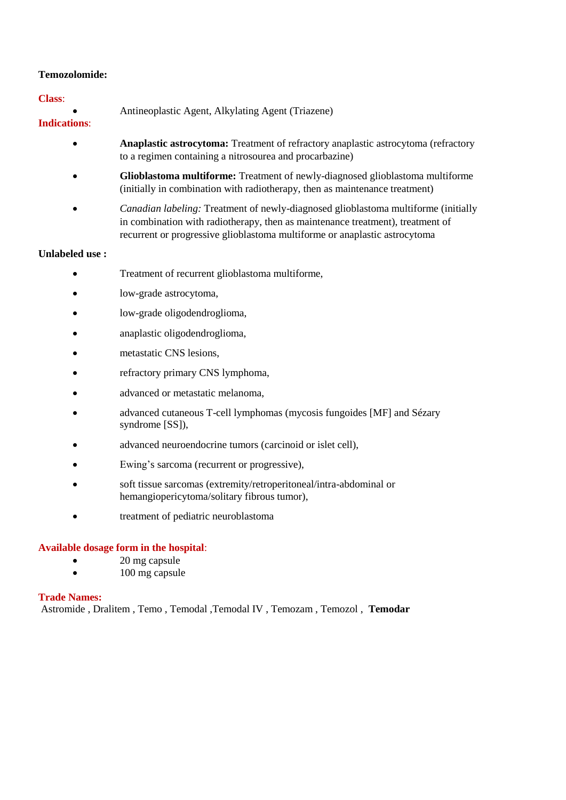# **Temozolomide:**

# **Class**:

|  |  | Antineoplastic Agent, Alkylating Agent (Triazene) |
|--|--|---------------------------------------------------|
|--|--|---------------------------------------------------|

# **Indications**:

- **Anaplastic astrocytoma:** Treatment of refractory anaplastic astrocytoma (refractory to a regimen containing a nitrosourea and procarbazine)
- **Glioblastoma multiforme:** Treatment of newly-diagnosed glioblastoma multiforme (initially in combination with radiotherapy, then as maintenance treatment)
- *Canadian labeling:* Treatment of newly-diagnosed glioblastoma multiforme (initially in combination with radiotherapy, then as maintenance treatment), treatment of recurrent or progressive glioblastoma multiforme or anaplastic astrocytoma

# **Unlabeled use :**

- Treatment of recurrent glioblastoma multiforme,
- low-grade astrocytoma,
- low-grade oligodendroglioma,
- anaplastic oligodendroglioma,
- metastatic CNS lesions,
- refractory primary CNS lymphoma,
- advanced or metastatic melanoma,
- advanced cutaneous T-cell lymphomas (mycosis fungoides [MF] and Sézary syndrome [SS]),
- advanced neuroendocrine tumors (carcinoid or islet cell),
- Ewing's sarcoma (recurrent or progressive),
- soft tissue sarcomas (extremity/retroperitoneal/intra-abdominal or hemangiopericytoma/solitary fibrous tumor),
- treatment of pediatric neuroblastoma

# **Available dosage form in the hospital**:

- 20 mg capsule
- 100 mg capsule

# **Trade Names:**

Astromide , Dralitem , Temo , Temodal ,Temodal IV , Temozam , Temozol , **Temodar**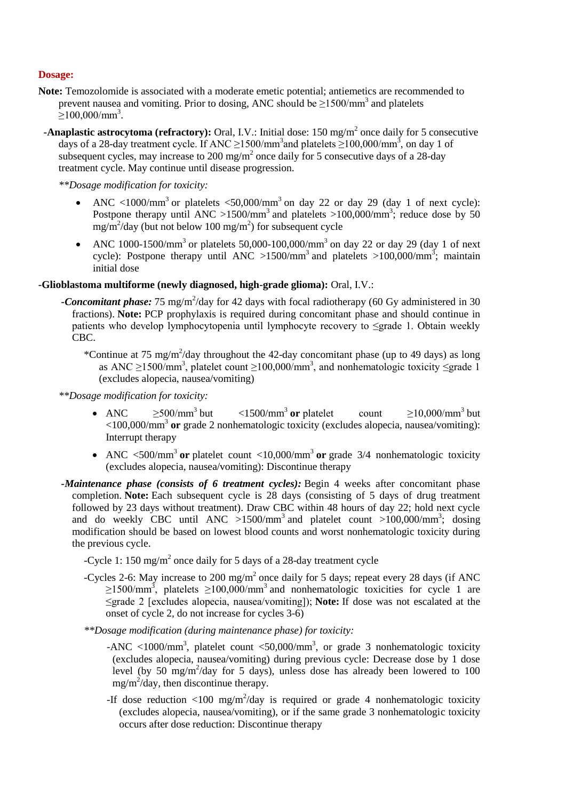# **Dosage:**

- **Note:** Temozolomide is associated with a moderate emetic potential; antiemetics are recommended to prevent nausea and vomiting. Prior to dosing, ANC should be  $\geq$ 1500/mm<sup>3</sup> and platelets  $\geq$ 100,000/mm<sup>3</sup>.
- **-Anaplastic astrocytoma (refractory):** Oral, I.V.: Initial dose: 150 mg/m<sup>2</sup> once daily for 5 consecutive days of a 28-day treatment cycle. If ANC  $\geq$ 1500/mm<sup>3</sup> and platelets  $\geq$ 100,000/mm<sup>3</sup>, on day 1 of subsequent cycles, may increase to 200 mg/m<sup>2</sup> once daily for 5 consecutive days of a 28-day treatment cycle. May continue until disease progression.

*\*\*Dosage modification for toxicity:*

- ANC <1000/mm<sup>3</sup> or platelets <50,000/mm<sup>3</sup> on day 22 or day 29 (day 1 of next cycle): Postpone therapy until ANC >1500/mm<sup>3</sup> and platelets >100,000/mm<sup>3</sup>; reduce dose by 50  $mg/m^2$ /day (but not below 100 mg/m<sup>2</sup>) for subsequent cycle
- ANC 1000-1500/mm<sup>3</sup> or platelets 50,000-100,000/mm<sup>3</sup> on day 22 or day 29 (day 1 of next cycle): Postpone therapy until ANC >1500/mm<sup>3</sup> and platelets >100,000/mm<sup>3</sup>; maintain initial dose

# **-Glioblastoma multiforme (newly diagnosed, high-grade glioma):** Oral, I.V.:

- -Concomitant phase: 75 mg/m<sup>2</sup>/day for 42 days with focal radiotherapy (60 Gy administered in 30 fractions). **Note:** PCP prophylaxis is required during concomitant phase and should continue in patients who develop lymphocytopenia until lymphocyte recovery to ≤grade 1. Obtain weekly CBC.
	- \*Continue at 75 mg/m<sup>2</sup>/day throughout the 42-day concomitant phase (up to 49 days) as long as ANC  $\geq$ 1500/mm<sup>3</sup>, platelet count  $\geq$ 100,000/mm<sup>3</sup>, and nonhematologic toxicity  $\leq$ grade 1 (excludes alopecia, nausea/vomiting)

*\*\*Dosage modification for toxicity:*

- ANC  $\geq 500/\text{mm}^3$  but <1500/mm<sup>3</sup> **or** platelet count  $\geq 10,000/\text{mm}^3$  but <100,000/mm<sup>3</sup> **or** grade 2 nonhematologic toxicity (excludes alopecia, nausea/vomiting): Interrupt therapy
- ANC <500/mm<sup>3</sup> or platelet count <10,000/mm<sup>3</sup> or grade 3/4 nonhematologic toxicity (excludes alopecia, nausea/vomiting): Discontinue therapy
- *-Maintenance phase (consists of 6 treatment cycles):* Begin 4 weeks after concomitant phase completion. **Note:** Each subsequent cycle is 28 days (consisting of 5 days of drug treatment followed by 23 days without treatment). Draw CBC within 48 hours of day 22; hold next cycle and do weekly CBC until ANC >1500/mm<sup>3</sup> and platelet count >100,000/mm<sup>3</sup>; dosing modification should be based on lowest blood counts and worst nonhematologic toxicity during the previous cycle.
	- -Cycle 1: 150 mg/m<sup>2</sup> once daily for 5 days of a 28-day treatment cycle
	- -Cycles 2-6: May increase to 200 mg/m<sup>2</sup> once daily for 5 days; repeat every 28 days (if ANC  $\geq$ 1500/mm<sup>3</sup>, platelets  $\geq$ 100,000/mm<sup>3</sup> and nonhematologic toxicities for cycle 1 are ≤grade 2 [excludes alopecia, nausea/vomiting]); **Note:** If dose was not escalated at the onset of cycle 2, do not increase for cycles 3-6)
	- *\*\*Dosage modification (during maintenance phase) for toxicity:*
		- -ANC <1000/mm<sup>3</sup>, platelet count <50,000/mm<sup>3</sup>, or grade 3 nonhematologic toxicity (excludes alopecia, nausea/vomiting) during previous cycle: Decrease dose by 1 dose level (by  $50 \text{ mg/m}^2$ /day for 5 days), unless dose has already been lowered to 100  $mg/m^2$ /day, then discontinue therapy.
		- -If dose reduction  $\langle 100 \text{ mg/m}^2/\text{day}$  is required or grade 4 nonhematologic toxicity (excludes alopecia, nausea/vomiting), or if the same grade 3 nonhematologic toxicity occurs after dose reduction: Discontinue therapy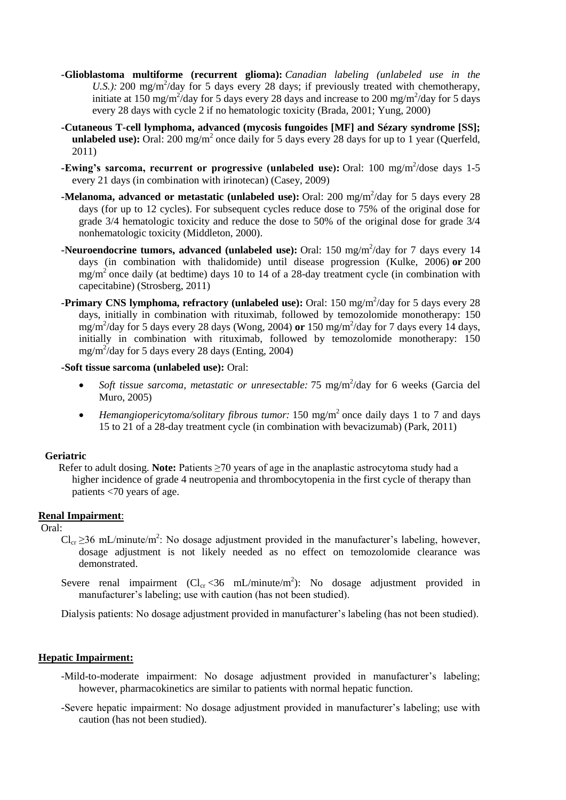- **-Glioblastoma multiforme (recurrent glioma):** *Canadian labeling (unlabeled use in the*  U.S.): 200 mg/m<sup>2</sup>/day for 5 days every 28 days; if previously treated with chemotherapy, initiate at 150 mg/m<sup>2</sup>/day for 5 days every 28 days and increase to 200 mg/m<sup>2</sup>/day for 5 days every 28 days with cycle 2 if no hematologic toxicity (Brada, 2001; Yung, 2000)
- **-Cutaneous T-cell lymphoma, advanced (mycosis fungoides [MF] and Sézary syndrome [SS];**  unlabeled use): Oral: 200 mg/m<sup>2</sup> once daily for 5 days every 28 days for up to 1 year (Querfeld, 2011)
- **-Ewing's sarcoma, recurrent or progressive (unlabeled use):** Oral: 100 mg/m<sup>2</sup>/dose days 1-5 every 21 days (in combination with irinotecan) (Casey, 2009)
- **-Melanoma, advanced or metastatic (unlabeled use):** Oral: 200 mg/m<sup>2</sup>/day for 5 days every 28 days (for up to 12 cycles). For subsequent cycles reduce dose to 75% of the original dose for grade 3/4 hematologic toxicity and reduce the dose to 50% of the original dose for grade 3/4 nonhematologic toxicity (Middleton, 2000).
- **-Neuroendocrine tumors, advanced (unlabeled use):** Oral: 150 mg/m<sup>2</sup>/day for 7 days every 14 days (in combination with thalidomide) until disease progression (Kulke, 2006) **or** 200  $mg/m<sup>2</sup>$  once daily (at bedtime) days 10 to 14 of a 28-day treatment cycle (in combination with capecitabine) (Strosberg, 2011)
- **-Primary CNS lymphoma, refractory (unlabeled use):** Oral: 150 mg/m<sup>2</sup>/day for 5 days every 28 days, initially in combination with rituximab, followed by temozolomide monotherapy: 150 mg/m<sup>2</sup> /day for 5 days every 28 days (Wong, 2004) **or** 150 mg/m<sup>2</sup> /day for 7 days every 14 days, initially in combination with rituximab, followed by temozolomide monotherapy: 150 mg/m<sup>2</sup> /day for 5 days every 28 days (Enting, 2004)

#### **-Soft tissue sarcoma (unlabeled use):** Oral:

- Soft tissue sarcoma, metastatic or unresectable: 75 mg/m<sup>2</sup>/day for 6 weeks (Garcia del Muro, 2005)
- *Hemangiopericytoma/solitary fibrous tumor:* 150 mg/m<sup>2</sup> once daily days 1 to 7 and days 15 to 21 of a 28-day treatment cycle (in combination with bevacizumab) (Park, 2011)

#### **Geriatric**

Refer to adult dosing. **Note:** Patients ≥70 years of age in the anaplastic astrocytoma study had a higher incidence of grade 4 neutropenia and thrombocytopenia in the first cycle of therapy than patients <70 years of age.

# **Renal Impairment**:

Oral:

- $Cl_{cr} \geq 36$  mL/minute/m<sup>2</sup>: No dosage adjustment provided in the manufacturer's labeling, however, dosage adjustment is not likely needed as no effect on temozolomide clearance was demonstrated.
- Severe renal impairment  $(Cl_{cr} < 36 \text{ mL/minute/m}^2)$ : No dosage adjustment provided in manufacturer's labeling; use with caution (has not been studied).

Dialysis patients: No dosage adjustment provided in manufacturer's labeling (has not been studied).

#### **Hepatic Impairment:**

- -Mild-to-moderate impairment: No dosage adjustment provided in manufacturer's labeling; however, pharmacokinetics are similar to patients with normal hepatic function.
- -Severe hepatic impairment: No dosage adjustment provided in manufacturer's labeling; use with caution (has not been studied).